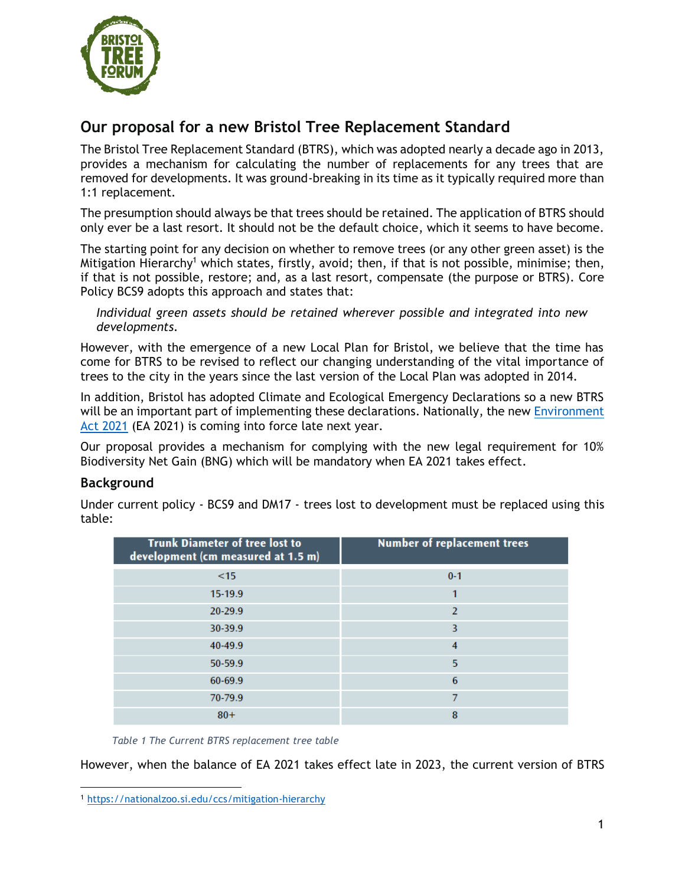

# **Our proposal for a new Bristol Tree Replacement Standard**

The Bristol Tree Replacement Standard (BTRS), which was adopted nearly a decade ago in 2013, provides a mechanism for calculating the number of replacements for any trees that are removed for developments. It was ground-breaking in its time as it typically required more than 1:1 replacement.

The presumption should always be that trees should be retained. The application of BTRS should only ever be a last resort. It should not be the default choice, which it seems to have become.

The starting point for any decision on whether to remove trees (or any other green asset) is the Mitigation Hierarchy<sup>1</sup> which states, firstly, avoid; then, if that is not possible, minimise; then, if that is not possible, restore; and, as a last resort, compensate (the purpose or BTRS). Core Policy BCS9 adopts this approach and states that:

*Individual green assets should be retained wherever possible and integrated into new developments.*

However, with the emergence of a new Local Plan for Bristol, we believe that the time has come for BTRS to be revised to reflect our changing understanding of the vital importance of trees to the city in the years since the last version of the Local Plan was adopted in 2014.

In addition, Bristol has adopted Climate and Ecological Emergency Declarations so a new BTRS will be an important part of implementing these declarations. Nationally, the new Environment [Act 2021](https://www.legislation.gov.uk/ukpga/2021/30/contents/enacted) (EA 2021) is coming into force late next year.

Our proposal provides a mechanism for complying with the new legal requirement for 10% Biodiversity Net Gain (BNG) which will be mandatory when EA 2021 takes effect.

# **Background**

Under current policy - BCS9 and DM17 - trees lost to development must be replaced using this table:

| <b>Trunk Diameter of tree lost to</b><br>development (cm measured at 1.5 m) | <b>Number of replacement trees</b> |
|-----------------------------------------------------------------------------|------------------------------------|
| <15                                                                         | $0 - 1$                            |
| 15-19.9                                                                     |                                    |
| 20-29.9                                                                     | 2                                  |
| 30-39.9                                                                     | 3                                  |
| 40-49.9                                                                     | 4                                  |
| 50-59.9                                                                     | 5                                  |
| 60-69.9                                                                     | 6                                  |
| 70-79.9                                                                     |                                    |
| $80+$                                                                       | 8                                  |

*Table 1 The Current BTRS replacement tree table*

However, when the balance of EA 2021 takes effect late in 2023, the current version of BTRS

<sup>1</sup> <https://nationalzoo.si.edu/ccs/mitigation-hierarchy>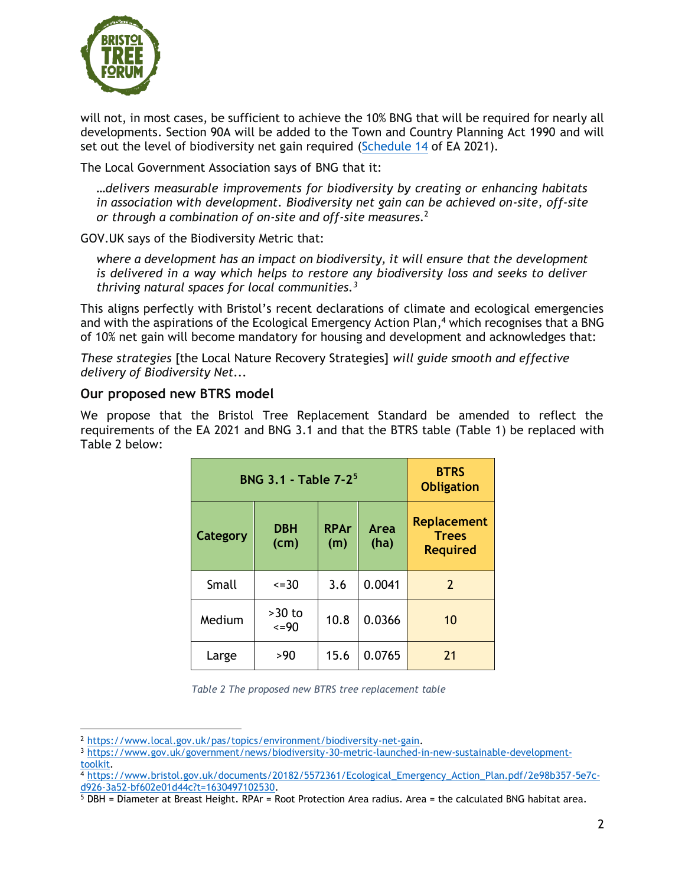

will not, in most cases, be sufficient to achieve the 10% BNG that will be required for nearly all developments. Section 90A will be added to the Town and Country Planning Act 1990 and will set out the level of biodiversity net gain required [\(Schedule 14](https://www.legislation.gov.uk/ukpga/2021/30/schedule/14/enacted) of EA 2021).

The Local Government Association says of BNG that it:

*…delivers measurable improvements for biodiversity by creating or enhancing habitats in association with development. Biodiversity net gain can be achieved on-site, off-site or through a combination of on-site and off-site measures.*<sup>2</sup>

GOV.UK says of the Biodiversity Metric that:

*where a development has an impact on biodiversity, it will ensure that the development is delivered in a way which helps to restore any biodiversity loss and seeks to deliver thriving natural spaces for local communities.<sup>3</sup>*

This aligns perfectly with Bristol's recent declarations of climate and ecological emergencies and with the aspirations of the Ecological Emergency Action Plan, <sup>4</sup> which recognises that a BNG of 10% net gain will become mandatory for housing and development and acknowledges that:

*These strategies* [the Local Nature Recovery Strategies] *will guide smooth and effective delivery of Biodiversity Net...* 

# **Our proposed new BTRS model**

We propose that the Bristol Tree Replacement Standard be amended to reflect the requirements of the EA 2021 and BNG 3.1 and that the BTRS table (Table 1) be replaced with Table 2 below:

| <b>BNG 3.1 - Table 7-2<sup>5</sup></b> | <b>BTRS</b><br><b>Obligation</b> |                    |              |                                                       |
|----------------------------------------|----------------------------------|--------------------|--------------|-------------------------------------------------------|
| Category                               | <b>DBH</b><br>(cm)               | <b>RPAr</b><br>(m) | Area<br>(ha) | <b>Replacement</b><br><b>Trees</b><br><b>Required</b> |
| Small                                  | $\leq$ = 30                      | 3.6                | 0.0041       | 2                                                     |
| Medium                                 | $>30$ to<br>$\leq$ =90           | 10.8               | 0.0366       | 10                                                    |
| Large                                  | >90                              | 15.6               | 0.0765       | 21                                                    |

*Table 2 The proposed new BTRS tree replacement table*

<sup>2</sup> [https://www.local.gov.uk/pas/topics/environment/biodiversity-net-gain.](https://www.local.gov.uk/pas/topics/environment/biodiversity-net-gain)

<sup>3</sup> [https://www.gov.uk/government/news/biodiversity-30-metric-launched-in-new-sustainable-development](https://www.gov.uk/government/news/biodiversity-30-metric-launched-in-new-sustainable-development-toolkit)[toolkit.](https://www.gov.uk/government/news/biodiversity-30-metric-launched-in-new-sustainable-development-toolkit)

<sup>4</sup> [https://www.bristol.gov.uk/documents/20182/5572361/Ecological\\_Emergency\\_Action\\_Plan.pdf/2e98b357-5e7c](https://www.bristol.gov.uk/documents/20182/5572361/Ecological_Emergency_Action_Plan.pdf/2e98b357-5e7c-d926-3a52-bf602e01d44c?t=1630497102530)[d926-3a52-bf602e01d44c?t=1630497102530.](https://www.bristol.gov.uk/documents/20182/5572361/Ecological_Emergency_Action_Plan.pdf/2e98b357-5e7c-d926-3a52-bf602e01d44c?t=1630497102530)

<sup>5</sup> DBH = Diameter at Breast Height. RPAr = Root Protection Area radius. Area = the calculated BNG habitat area.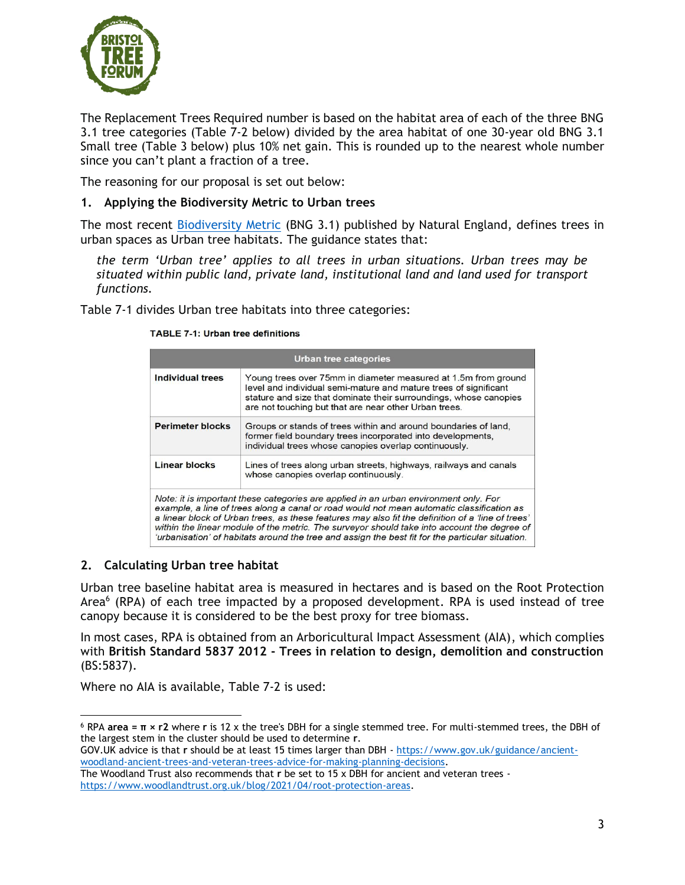

The Replacement Trees Required number is based on the habitat area of each of the three BNG 3.1 tree categories (Table 7-2 below) divided by the area habitat of one 30-year old BNG 3.1 Small tree (Table 3 below) plus 10% net gain. This is rounded up to the nearest whole number since you can't plant a fraction of a tree.

The reasoning for our proposal is set out below:

### **1. Applying the Biodiversity Metric to Urban trees**

The most recent [Biodiversity Metric](http://nepubprod.appspot.com/publication/6049804846366720) (BNG 3.1) published by Natural England, defines trees in urban spaces as Urban tree habitats. The guidance states that:

*the term 'Urban tree' applies to all trees in urban situations. Urban trees may be situated within public land, private land, institutional land and land used for transport functions.*

Table 7-1 divides Urban tree habitats into three categories:

| <b>Urban tree categories</b>                                                                                                                                                                                                                                                                                                                                                                                                                                                              |                                                                                                                                                                                                                                                                  |  |  |  |  |
|-------------------------------------------------------------------------------------------------------------------------------------------------------------------------------------------------------------------------------------------------------------------------------------------------------------------------------------------------------------------------------------------------------------------------------------------------------------------------------------------|------------------------------------------------------------------------------------------------------------------------------------------------------------------------------------------------------------------------------------------------------------------|--|--|--|--|
| Individual trees                                                                                                                                                                                                                                                                                                                                                                                                                                                                          | Young trees over 75mm in diameter measured at 1.5m from ground<br>level and individual semi-mature and mature trees of significant<br>stature and size that dominate their surroundings, whose canopies<br>are not touching but that are near other Urban trees. |  |  |  |  |
| <b>Perimeter blocks</b><br>Groups or stands of trees within and around boundaries of land,<br>former field boundary trees incorporated into developments,<br>individual trees whose canopies overlap continuously.                                                                                                                                                                                                                                                                        |                                                                                                                                                                                                                                                                  |  |  |  |  |
| <b>Linear blocks</b><br>Lines of trees along urban streets, highways, railways and canals<br>whose canopies overlap continuously.                                                                                                                                                                                                                                                                                                                                                         |                                                                                                                                                                                                                                                                  |  |  |  |  |
| Note: it is important these categories are applied in an urban environment only. For<br>example, a line of trees along a canal or road would not mean automatic classification as<br>a linear block of Urban trees, as these features may also fit the definition of a 'line of trees'<br>within the linear module of the metric. The surveyor should take into account the degree of<br>'urbanisation' of habitats around the tree and assign the best fit for the particular situation. |                                                                                                                                                                                                                                                                  |  |  |  |  |

#### **TABLE 7-1: Urban tree definitions**

#### **2. Calculating Urban tree habitat**

Urban tree baseline habitat area is measured in hectares and is based on the Root Protection Area<sup>6</sup> (RPA) of each tree impacted by a proposed development. RPA is used instead of tree canopy because it is considered to be the best proxy for tree biomass.

In most cases, RPA is obtained from an Arboricultural Impact Assessment (AIA), which complies with **British Standard 5837 2012 - Trees in relation to design, demolition and construction** (BS:5837).

Where no AIA is available, Table 7-2 is used:

<sup>6</sup> RPA **area = π × r2** where **r** is 12 x the tree's DBH for a single stemmed tree. For multi-stemmed trees, the DBH of the largest stem in the cluster should be used to determine **r**.

GOV.UK advice is that **r** should be at least 15 times larger than DBH - [https://www.gov.uk/guidance/ancient](https://www.gov.uk/guidance/ancient-woodland-ancient-trees-and-veteran-trees-advice-for-making-planning-decisions)[woodland-ancient-trees-and-veteran-trees-advice-for-making-planning-decisions.](https://www.gov.uk/guidance/ancient-woodland-ancient-trees-and-veteran-trees-advice-for-making-planning-decisions)

The Woodland Trust also recommends that **r** be set to 15 x DBH for ancient and veteran trees [https://www.woodlandtrust.org.uk/blog/2021/04/root-protection-areas.](https://www.woodlandtrust.org.uk/blog/2021/04/root-protection-areas)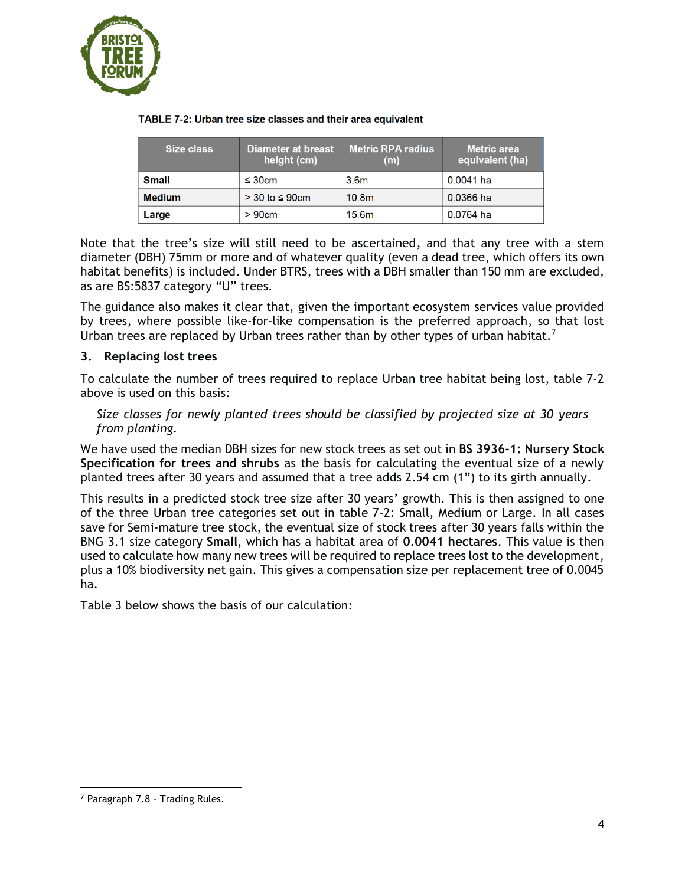

| Size class    | Diameter at breast<br>height (cm) | <b>Metric RPA radius</b><br>(m) | <b>Metric area</b><br>equivalent (ha) |
|---------------|-----------------------------------|---------------------------------|---------------------------------------|
| <b>Small</b>  | $\leq$ 30cm                       | 3.6 <sub>m</sub>                | $0.0041$ ha                           |
| <b>Medium</b> | $>$ 30 to $\leq$ 90cm             | 10.8 <sub>m</sub>               | 0.0366 ha                             |
| Large         | >90cm                             | 15.6m                           | 0.0764 ha                             |

#### TABLE 7-2: Urban tree size classes and their area equivalent

Note that the tree's size will still need to be ascertained, and that any tree with a stem diameter (DBH) 75mm or more and of whatever quality (even a dead tree, which offers its own habitat benefits) is included. Under BTRS, trees with a DBH smaller than 150 mm are excluded, as are BS:5837 category "U" trees.

The guidance also makes it clear that, given the important ecosystem services value provided by trees, where possible like-for-like compensation is the preferred approach, so that lost Urban trees are replaced by Urban trees rather than by other types of urban habitat.<sup>7</sup>

### **3. Replacing lost trees**

To calculate the number of trees required to replace Urban tree habitat being lost, table 7-2 above is used on this basis:

*Size classes for newly planted trees should be classified by projected size at 30 years from planting.*

We have used the median DBH sizes for new stock trees as set out in **BS 3936-1: Nursery Stock Specification for trees and shrubs** as the basis for calculating the eventual size of a newly planted trees after 30 years and assumed that a tree adds 2.54 cm (1") to its girth annually.

This results in a predicted stock tree size after 30 years' growth. This is then assigned to one of the three Urban tree categories set out in table 7-2: Small, Medium or Large. In all cases save for Semi-mature tree stock, the eventual size of stock trees after 30 years falls within the BNG 3.1 size category **Small**, which has a habitat area of **0.0041 hectares**. This value is then used to calculate how many new trees will be required to replace trees lost to the development, plus a 10% biodiversity net gain. This gives a compensation size per replacement tree of 0.0045 ha.

Table 3 below shows the basis of our calculation:

<sup>7</sup> Paragraph 7.8 – Trading Rules.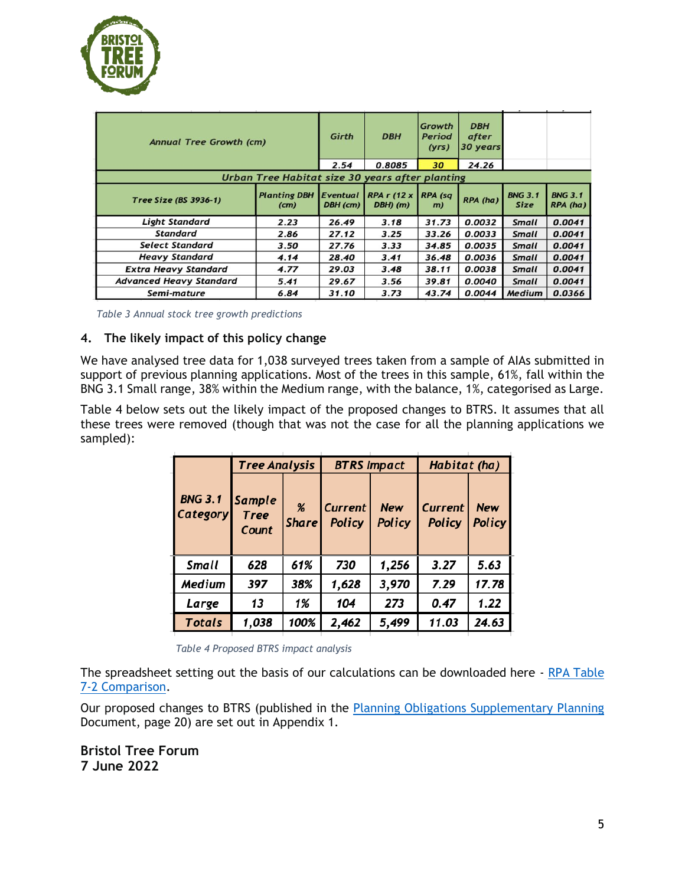

| <b>Annual Tree Growth (cm)</b> |                                                 | Girth                | <b>DBH</b>                                              | Growth<br><b>Period</b><br>(yrs) | <b>DBH</b><br>after<br>30 years |                               |                            |
|--------------------------------|-------------------------------------------------|----------------------|---------------------------------------------------------|----------------------------------|---------------------------------|-------------------------------|----------------------------|
|                                | 2.54                                            | 0.8085               | 30                                                      | 24.26                            |                                 |                               |                            |
|                                | Urban Tree Habitat size 30 years after planting |                      |                                                         |                                  |                                 |                               |                            |
| Tree Size (BS 3936-1)          | <b>Planting DBH</b><br>(c <sub>m</sub> )        | Eventual<br>DBH (cm) | $RPA \, r \, (12 \times \vert RPA \, (sq$<br>$DBH)$ (m) | m)                               | RPA (ha)                        | <b>BNG 3.1</b><br><b>Size</b> | <b>BNG 3.1</b><br>RPA (ha) |
| <b>Light Standard</b>          | 2.23                                            | 26.49                | 3.18                                                    | 31.73                            | 0.0032                          | <b>Small</b>                  | 0.0041                     |
| <b>Standard</b>                | 2.86                                            | 27.12                | 3.25                                                    | 33.26                            | 0.0033                          | <b>Small</b>                  | 0.0041                     |
| <b>Select Standard</b>         | 3.50                                            | 27.76                | 3.33                                                    | 34.85                            | 0.0035                          | <b>Small</b>                  | 0.0041                     |
| <b>Heavy Standard</b>          | 4.14                                            | 28.40                | 3.41                                                    | 36.48                            | 0.0036                          | <b>Small</b>                  | 0.0041                     |
| <b>Extra Heavy Standard</b>    | 4.77                                            | 29.03                | 3.48                                                    | 38.11                            | 0.0038                          | <b>Small</b>                  | 0.0041                     |
| <b>Advanced Heavy Standard</b> | 5.41                                            | 29.67                | 3.56                                                    | 39.81                            | 0.0040                          | <b>Small</b>                  | 0.0041                     |
| Semi-mature                    | 6.84                                            | 31.10                | 3.73                                                    | 43.74                            | 0.0044                          | <b>Medium</b>                 | 0.0366                     |

*Table 3 Annual stock tree growth predictions*

### **4. The likely impact of this policy change**

We have analysed tree data for 1,038 surveyed trees taken from a sample of AIAs submitted in support of previous planning applications. Most of the trees in this sample, 61%, fall within the BNG 3.1 Small range, 38% within the Medium range, with the balance, 1%, categorised as Large.

Table 4 below sets out the likely impact of the proposed changes to BTRS. It assumes that all these trees were removed (though that was not the case for all the planning applications we sampled):

|                                          | <b>Tree Analysis</b> |                      | <b>BTRS Impact</b>              |                             | Habitat (ha)                    |                             |
|------------------------------------------|----------------------|----------------------|---------------------------------|-----------------------------|---------------------------------|-----------------------------|
| <b>BNG 3.1 Sample</b><br><b>Category</b> | <b>Tree</b><br>Count | $\%$<br><b>Share</b> | <b>Current</b><br><b>Policy</b> | <b>New</b><br><b>Policy</b> | <b>Current</b><br><b>Policy</b> | <b>New</b><br><b>Policy</b> |
| <b>Small</b>                             | 628                  | 61%                  | 730                             | 1,256                       | 3.27                            | 5.63                        |
| Medium                                   | 397                  | 38%                  | 1,628                           | 3,970                       | 7.29                            | 17.78                       |
| Large                                    | 13                   | 1%                   | 104                             | 273                         | 0.47                            | 1.22                        |
| <b>Totals</b>                            | 1,038                | 100%                 | 2,462                           | 5,499                       | 11.03                           | 24.63                       |

*Table 4 Proposed BTRS impact analysis*

The spreadsheet setting out the basis of our calculations can be downloaded here - RPA Table [7-2 Comparison.](https://bristoltreeforum.files.wordpress.com/2022/06/rpa-table-7-2-comparison-1.xlsx)

Our proposed changes to BTRS (published in the [Planning Obligations Supplementary Planning](https://www.bristol.gov.uk/documents/20182/34520/SPD%2520Final%2520Doc%2520Dec2012.pdf/daf75908-50fd-4138-afed-770310a6a431) Document, page 20) are set out in Appendix 1.

**Bristol Tree Forum 7 June 2022**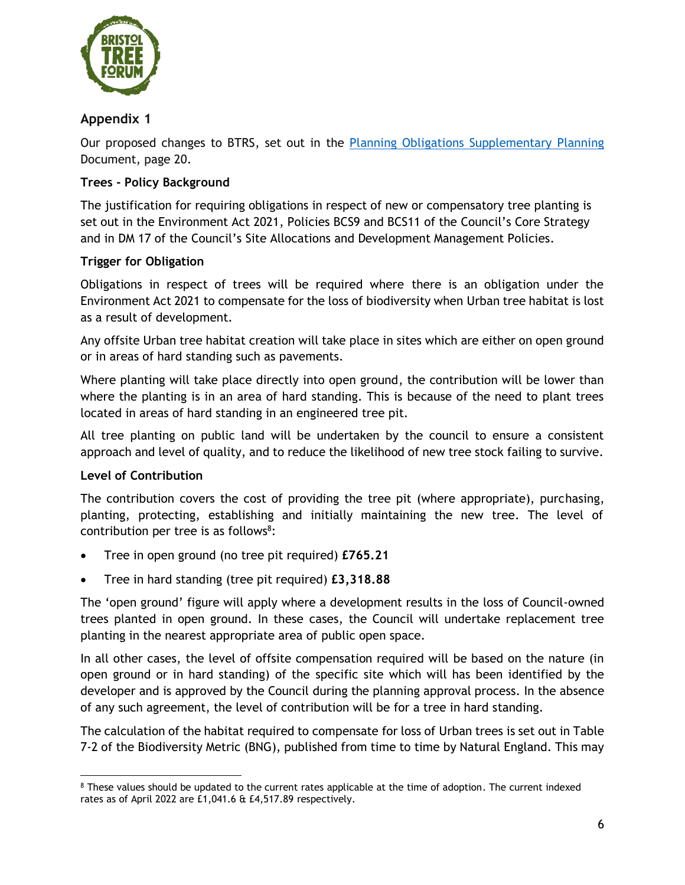

# **Appendix 1**

Our proposed changes to BTRS, set out in the [Planning Obligations Supplementary Planning](https://www.bristol.gov.uk/documents/20182/34520/SPD%2520Final%2520Doc%2520Dec2012.pdf/daf75908-50fd-4138-afed-770310a6a431) Document, page 20.

# **Trees - Policy Background**

The justification for requiring obligations in respect of new or compensatory tree planting is set out in the Environment Act 2021, Policies BCS9 and BCS11 of the Council's Core Strategy and in DM 17 of the Council's Site Allocations and Development Management Policies.

# **Trigger for Obligation**

Obligations in respect of trees will be required where there is an obligation under the Environment Act 2021 to compensate for the loss of biodiversity when Urban tree habitat is lost as a result of development.

Any offsite Urban tree habitat creation will take place in sites which are either on open ground or in areas of hard standing such as pavements.

Where planting will take place directly into open ground, the contribution will be lower than where the planting is in an area of hard standing. This is because of the need to plant trees located in areas of hard standing in an engineered tree pit.

All tree planting on public land will be undertaken by the council to ensure a consistent approach and level of quality, and to reduce the likelihood of new tree stock failing to survive.

# **Level of Contribution**

The contribution covers the cost of providing the tree pit (where appropriate), purchasing, planting, protecting, establishing and initially maintaining the new tree. The level of contribution per tree is as follows<sup>8</sup>:

- Tree in open ground (no tree pit required) **£765.21**
- Tree in hard standing (tree pit required) **£3,318.88**

The 'open ground' figure will apply where a development results in the loss of Council-owned trees planted in open ground. In these cases, the Council will undertake replacement tree planting in the nearest appropriate area of public open space.

In all other cases, the level of offsite compensation required will be based on the nature (in open ground or in hard standing) of the specific site which will has been identified by the developer and is approved by the Council during the planning approval process. In the absence of any such agreement, the level of contribution will be for a tree in hard standing.

The calculation of the habitat required to compensate for loss of Urban trees is set out in Table 7-2 of the Biodiversity Metric (BNG), published from time to time by Natural England. This may

<sup>8</sup> These values should be updated to the current rates applicable at the time of adoption. The current indexed rates as of April 2022 are £1,041.6 & £4,517.89 respectively.